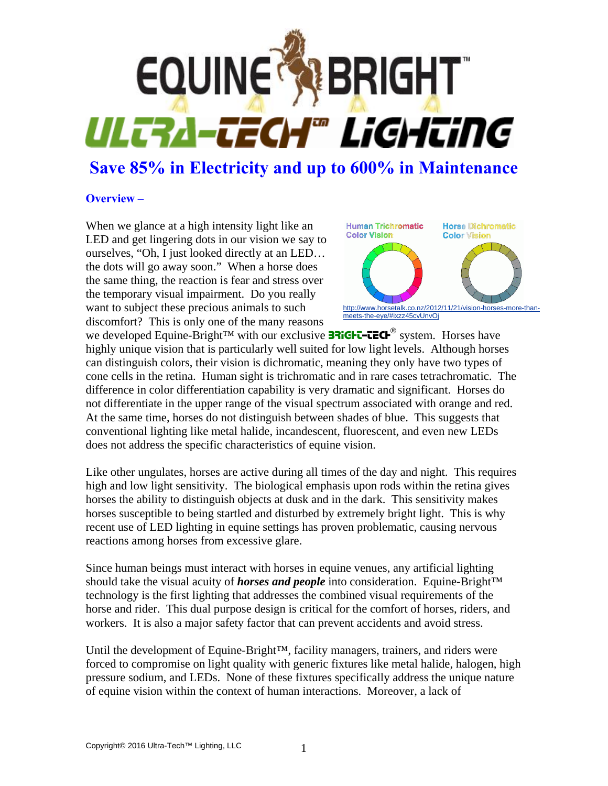

# **Save 85% in Electricity and up to 600% in Maintenance**

#### **Overview –**

When we glance at a high intensity light like an LED and get lingering dots in our vision we say to ourselves, "Oh, I just looked directly at an LED… the dots will go away soon." When a horse does the same thing, the reaction is fear and stress over the temporary visual impairment. Do you really want to subject these precious animals to such discomfort? This is only one of the many reasons



we developed Equine-Bright<sup>™</sup> with our exclusive **BRIGHT-TECH**<sup>®</sup> system. Horses have highly unique vision that is particularly well suited for low light levels. Although horses can distinguish colors, their vision is dichromatic, meaning they only have two types of cone cells in the retina. Human sight is trichromatic and in rare cases tetrachromatic. The difference in color differentiation capability is very dramatic and significant. Horses do not differentiate in the upper range of the visual spectrum associated with orange and red. At the same time, horses do not distinguish between shades of blue. This suggests that conventional lighting like metal halide, incandescent, fluorescent, and even new LEDs does not address the specific characteristics of equine vision.

Like other ungulates, horses are active during all times of the day and night. This requires high and low light sensitivity. The biological emphasis upon rods within the retina gives horses the ability to distinguish objects at dusk and in the dark. This sensitivity makes horses susceptible to being startled and disturbed by extremely bright light. This is why recent use of LED lighting in equine settings has proven problematic, causing nervous reactions among horses from excessive glare.

Since human beings must interact with horses in equine venues, any artificial lighting should take the visual acuity of *horses and people* into consideration. Equine-Bright™ technology is the first lighting that addresses the combined visual requirements of the horse and rider. This dual purpose design is critical for the comfort of horses, riders, and workers. It is also a major safety factor that can prevent accidents and avoid stress.

Until the development of Equine-Bright™, facility managers, trainers, and riders were forced to compromise on light quality with generic fixtures like metal halide, halogen, high pressure sodium, and LEDs. None of these fixtures specifically address the unique nature of equine vision within the context of human interactions. Moreover, a lack of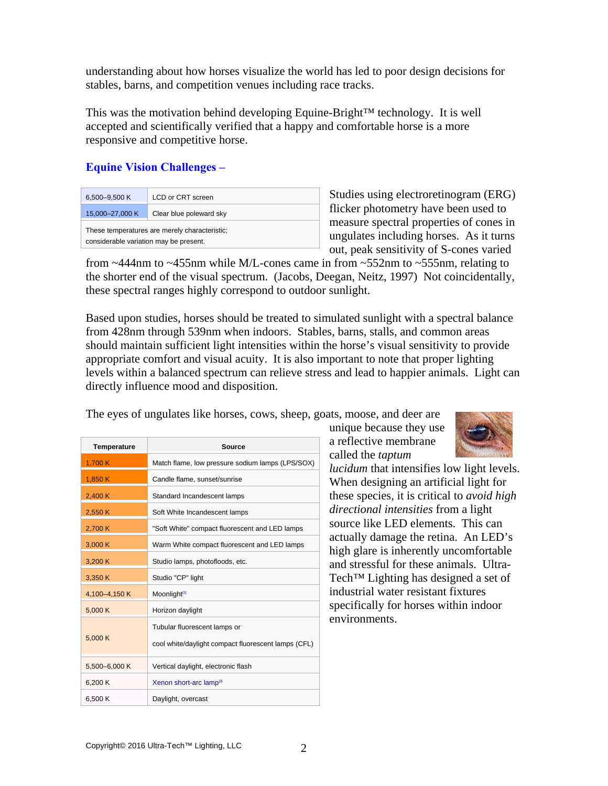understanding about how horses visualize the world has led to poor design decisions for stables, barns, and competition venues including race tracks.

This was the motivation behind developing Equine-Bright™ technology. It is well accepted and scientifically verified that a happy and comfortable horse is a more responsive and competitive horse.

### **Equine Vision Challenges –**

| 6,500-9,500 K                                                                           | LCD or CRT screen       |
|-----------------------------------------------------------------------------------------|-------------------------|
| 15,000-27,000 K                                                                         | Clear blue poleward sky |
| These temperatures are merely characteristic;<br>considerable variation may be present. |                         |

Studies using electroretinogram (ERG) flicker photometry have been used to measure spectral properties of cones in ungulates including horses. As it turns out, peak sensitivity of S-cones varied

from ~444nm to ~455nm while M/L-cones came in from ~552nm to ~555nm, relating to the shorter end of the visual spectrum. (Jacobs, Deegan, Neitz, 1997) Not coincidentally, these spectral ranges highly correspond to outdoor sunlight.

Based upon studies, horses should be treated to simulated sunlight with a spectral balance from 428nm through 539nm when indoors. Stables, barns, stalls, and common areas should maintain sufficient light intensities within the horse's visual sensitivity to provide appropriate comfort and visual acuity. It is also important to note that proper lighting levels within a balanced spectrum can relieve stress and lead to happier animals. Light can directly influence mood and disposition.

The eyes of ungulates like horses, cows, sheep, goats, moose, and deer are

| <b>Temperature</b> | <b>Source</b>                                       |
|--------------------|-----------------------------------------------------|
| 1,700 K            | Match flame, low pressure sodium lamps (LPS/SOX)    |
| 1,850 K            | Candle flame, sunset/sunrise                        |
| 2,400 K            | Standard Incandescent lamps                         |
| 2.550 K            | Soft White Incandescent lamps                       |
| 2,700 K            | "Soft White" compact fluorescent and LED lamps      |
| 3,000K             | Warm White compact fluorescent and LED lamps        |
| 3.200 K            | Studio lamps, photofloods, etc.                     |
| 3,350 K            | Studio "CP" light                                   |
| 4,100-4,150 K      | Moonlight <sup>[2]</sup>                            |
| 5,000 K            | Horizon daylight                                    |
| 5,000 K            | Tubular fluorescent lamps or                        |
|                    | cool white/daylight compact fluorescent lamps (CFL) |
| 5,500-6,000 K      | Vertical daylight, electronic flash                 |
| 6.200 K            | Xenon short-arc lamp <sup>[3]</sup>                 |
| 6,500 K            | Daylight, overcast                                  |

unique because they use a reflective membrane called the *taptum* 



*lucidum* that intensifies low light levels. When designing an artificial light for these species, it is critical to *avoid high directional intensities* from a light source like LED elements. This can actually damage the retina. An LED's high glare is inherently uncomfortable and stressful for these animals. Ultra-Tech™ Lighting has designed a set of industrial water resistant fixtures specifically for horses within indoor environments.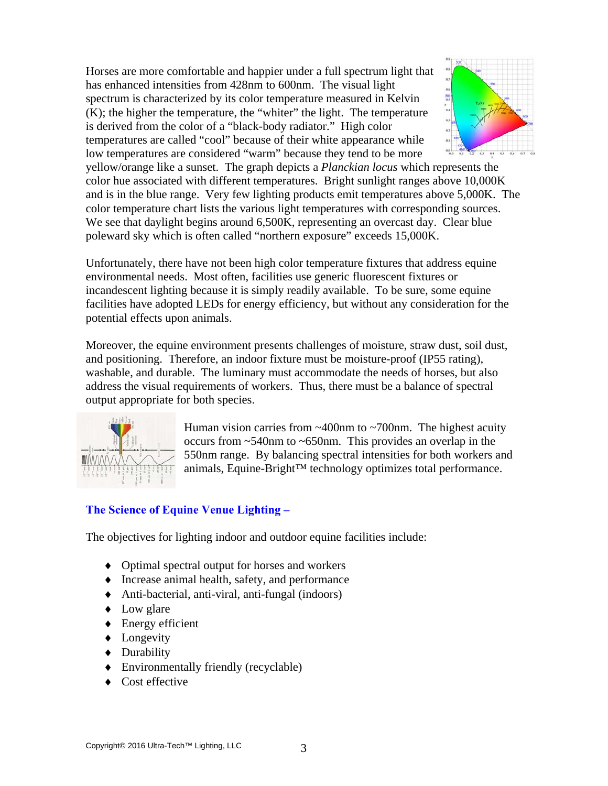Horses are more comfortable and happier under a full spectrum light that has enhanced intensities from 428nm to 600nm. The visual light spectrum is characterized by its color temperature measured in Kelvin (K); the higher the temperature, the "whiter" the light. The temperature is derived from the color of a "black-body radiator." High color temperatures are called "cool" because of their white appearance while low temperatures are considered "warm" because they tend to be more



yellow/orange like a sunset. The graph depicts a *Planckian locus* which represents the color hue associated with different temperatures. Bright sunlight ranges above 10,000K and is in the blue range. Very few lighting products emit temperatures above 5,000K. The color temperature chart lists the various light temperatures with corresponding sources. We see that daylight begins around 6,500K, representing an overcast day. Clear blue poleward sky which is often called "northern exposure" exceeds 15,000K.

Unfortunately, there have not been high color temperature fixtures that address equine environmental needs. Most often, facilities use generic fluorescent fixtures or incandescent lighting because it is simply readily available. To be sure, some equine facilities have adopted LEDs for energy efficiency, but without any consideration for the potential effects upon animals.

Moreover, the equine environment presents challenges of moisture, straw dust, soil dust, and positioning. Therefore, an indoor fixture must be moisture-proof (IP55 rating), washable, and durable. The luminary must accommodate the needs of horses, but also address the visual requirements of workers. Thus, there must be a balance of spectral output appropriate for both species.



Human vision carries from  $\sim$ 400nm to  $\sim$ 700nm. The highest acuity occurs from ~540nm to ~650nm. This provides an overlap in the 550nm range. By balancing spectral intensities for both workers and animals, Equine-Bright™ technology optimizes total performance.

## **The Science of Equine Venue Lighting –**

The objectives for lighting indoor and outdoor equine facilities include:

- ♦ Optimal spectral output for horses and workers
- ♦ Increase animal health, safety, and performance
- ♦ Anti-bacterial, anti-viral, anti-fungal (indoors)
- Low glare
- $\triangle$  Energy efficient
- Longevity
- ♦ Durability
- ♦ Environmentally friendly (recyclable)
- ♦ Cost effective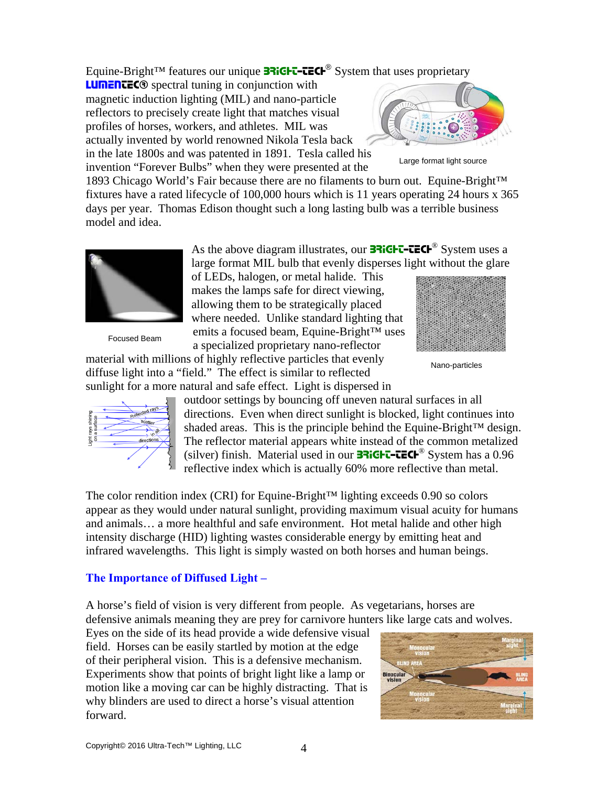Equine-Bright<sup>™</sup> features our unique **BRIGHT-TECH<sup>®</sup>** System that uses proprietary

LUMENTEC<sup>®</sup> spectral tuning in conjunction with magnetic induction lighting (MIL) and nano-particle reflectors to precisely create light that matches visual profiles of horses, workers, and athletes. MIL was actually invented by world renowned Nikola Tesla back in the late 1800s and was patented in 1891. Tesla called his invention "Forever Bulbs" when they were presented at the



Large format light source

1893 Chicago World's Fair because there are no filaments to burn out. Equine-Bright™ fixtures have a rated lifecycle of 100,000 hours which is 11 years operating 24 hours x 365 days per year. Thomas Edison thought such a long lasting bulb was a terrible business model and idea.



Focused Beam

As the above diagram illustrates, our **33 ICHT-TECH**<sup>®</sup> System uses a large format MIL bulb that evenly disperses light without the glare

of LEDs, halogen, or metal halide. This makes the lamps safe for direct viewing, allowing them to be strategically placed where needed. Unlike standard lighting that emits a focused beam, Equine-Bright™ uses a specialized proprietary nano-reflector

material with millions of highly reflective particles that evenly diffuse light into a "field." The effect is similar to reflected sunlight for a more natural and safe effect. Light is dispersed in



Nano-particles



outdoor settings by bouncing off uneven natural surfaces in all directions. Even when direct sunlight is blocked, light continues into shaded areas. This is the principle behind the Equine-Bright™ design. The reflector material appears white instead of the common metalized (silver) finish. Material used in our **BRIGHT-TECH**<sup>®</sup> System has a 0.96 reflective index which is actually 60% more reflective than metal.

The color rendition index (CRI) for Equine-Bright™ lighting exceeds 0.90 so colors appear as they would under natural sunlight, providing maximum visual acuity for humans and animals… a more healthful and safe environment. Hot metal halide and other high intensity discharge (HID) lighting wastes considerable energy by emitting heat and infrared wavelengths. This light is simply wasted on both horses and human beings.

#### **The Importance of Diffused Light –**

A horse's field of vision is very different from people. As vegetarians, horses are defensive animals meaning they are prey for carnivore hunters like large cats and wolves.

Eyes on the side of its head provide a wide defensive visual field. Horses can be easily startled by motion at the edge of their peripheral vision. This is a defensive mechanism. Experiments show that points of bright light like a lamp or motion like a moving car can be highly distracting. That is why blinders are used to direct a horse's visual attention forward.

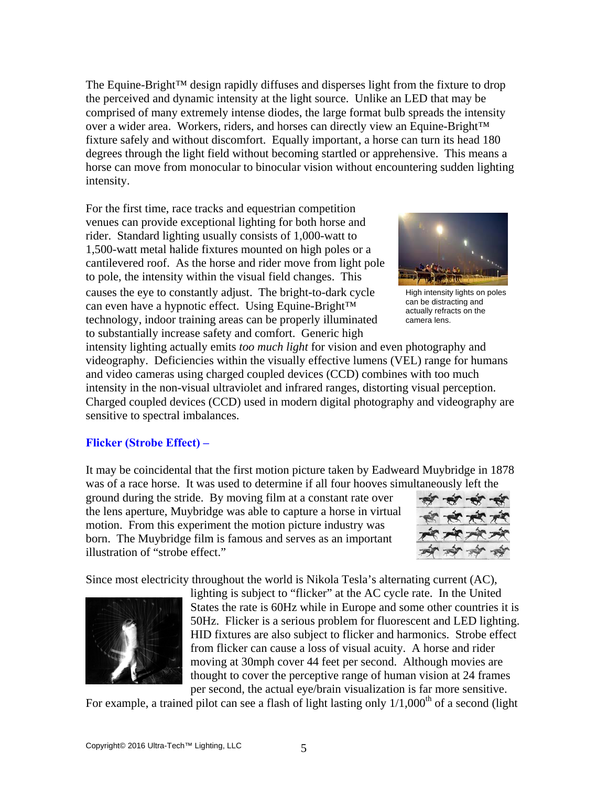The Equine-Bright™ design rapidly diffuses and disperses light from the fixture to drop the perceived and dynamic intensity at the light source. Unlike an LED that may be comprised of many extremely intense diodes, the large format bulb spreads the intensity over a wider area. Workers, riders, and horses can directly view an Equine-Bright™ fixture safely and without discomfort. Equally important, a horse can turn its head 180 degrees through the light field without becoming startled or apprehensive. This means a horse can move from monocular to binocular vision without encountering sudden lighting intensity.

For the first time, race tracks and equestrian competition venues can provide exceptional lighting for both horse and rider. Standard lighting usually consists of 1,000-watt to 1,500-watt metal halide fixtures mounted on high poles or a cantilevered roof. As the horse and rider move from light pole to pole, the intensity within the visual field changes. This causes the eye to constantly adjust. The bright-to-dark cycle can even have a hypnotic effect. Using Equine-Bright™ technology, indoor training areas can be properly illuminated to substantially increase safety and comfort. Generic high



High intensity lights on poles can be distracting and actually refracts on the camera lens.

intensity lighting actually emits *too much light* for vision and even photography and videography. Deficiencies within the visually effective lumens (VEL) range for humans and video cameras using charged coupled devices (CCD) combines with too much intensity in the non-visual ultraviolet and infrared ranges, distorting visual perception. Charged coupled devices (CCD) used in modern digital photography and videography are sensitive to spectral imbalances.

#### **Flicker (Strobe Effect) –**

It may be coincidental that the first motion picture taken by Eadweard Muybridge in 1878 was of a race horse. It was used to determine if all four hooves simultaneously left the

ground during the stride. By moving film at a constant rate over the lens aperture, Muybridge was able to capture a horse in virtual motion. From this experiment the motion picture industry was born. The Muybridge film is famous and serves as an important illustration of "strobe effect."



Since most electricity throughout the world is Nikola Tesla's alternating current (AC),



lighting is subject to "flicker" at the AC cycle rate. In the United States the rate is 60Hz while in Europe and some other countries it is 50Hz. Flicker is a serious problem for fluorescent and LED lighting. HID fixtures are also subject to flicker and harmonics. Strobe effect from flicker can cause a loss of visual acuity. A horse and rider moving at 30mph cover 44 feet per second. Although movies are thought to cover the perceptive range of human vision at 24 frames per second, the actual eye/brain visualization is far more sensitive.

For example, a trained pilot can see a flash of light lasting only  $1/1,000<sup>th</sup>$  of a second (light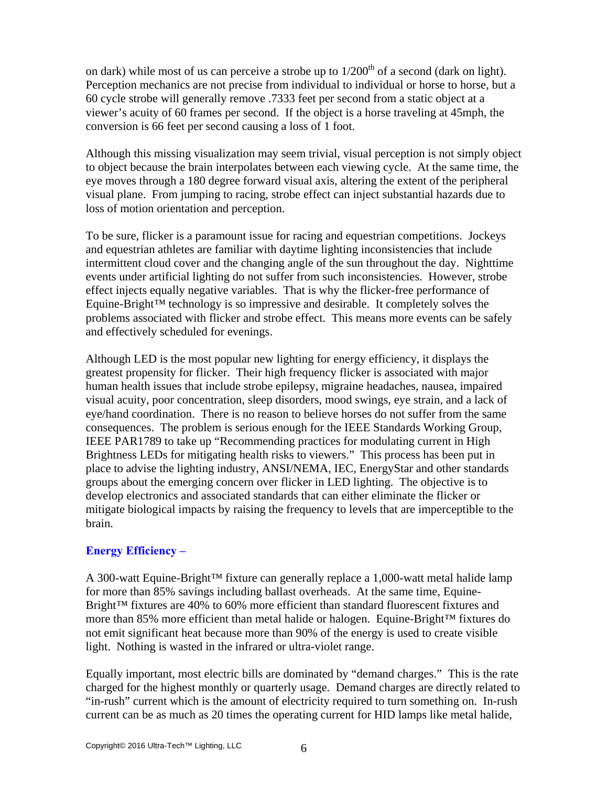on dark) while most of us can perceive a strobe up to  $1/200<sup>th</sup>$  of a second (dark on light). Perception mechanics are not precise from individual to individual or horse to horse, but a 60 cycle strobe will generally remove .7333 feet per second from a static object at a viewer's acuity of 60 frames per second. If the object is a horse traveling at 45mph, the conversion is 66 feet per second causing a loss of 1 foot.

Although this missing visualization may seem trivial, visual perception is not simply object to object because the brain interpolates between each viewing cycle. At the same time, the eye moves through a 180 degree forward visual axis, altering the extent of the peripheral visual plane. From jumping to racing, strobe effect can inject substantial hazards due to loss of motion orientation and perception.

To be sure, flicker is a paramount issue for racing and equestrian competitions. Jockeys and equestrian athletes are familiar with daytime lighting inconsistencies that include intermittent cloud cover and the changing angle of the sun throughout the day. Nighttime events under artificial lighting do not suffer from such inconsistencies. However, strobe effect injects equally negative variables. That is why the flicker-free performance of Equine-Bright™ technology is so impressive and desirable. It completely solves the problems associated with flicker and strobe effect. This means more events can be safely and effectively scheduled for evenings.

Although LED is the most popular new lighting for energy efficiency, it displays the greatest propensity for flicker. Their high frequency flicker is associated with major human health issues that include strobe epilepsy, migraine headaches, nausea, impaired visual acuity, poor concentration, sleep disorders, mood swings, eye strain, and a lack of eye/hand coordination. There is no reason to believe horses do not suffer from the same consequences. The problem is serious enough for the IEEE Standards Working Group, IEEE PAR1789 to take up "Recommending practices for modulating current in High Brightness LEDs for mitigating health risks to viewers." This process has been put in place to advise the lighting industry, ANSI/NEMA, IEC, EnergyStar and other standards groups about the emerging concern over flicker in LED lighting. The objective is to develop electronics and associated standards that can either eliminate the flicker or mitigate biological impacts by raising the frequency to levels that are imperceptible to the brain.

## **Energy Efficiency –**

A 300-watt Equine-Bright™ fixture can generally replace a 1,000-watt metal halide lamp for more than 85% savings including ballast overheads. At the same time, Equine-Bright™ fixtures are 40% to 60% more efficient than standard fluorescent fixtures and more than 85% more efficient than metal halide or halogen. Equine-Bright™ fixtures do not emit significant heat because more than 90% of the energy is used to create visible light. Nothing is wasted in the infrared or ultra-violet range.

Equally important, most electric bills are dominated by "demand charges." This is the rate charged for the highest monthly or quarterly usage. Demand charges are directly related to "in-rush" current which is the amount of electricity required to turn something on. In-rush current can be as much as 20 times the operating current for HID lamps like metal halide,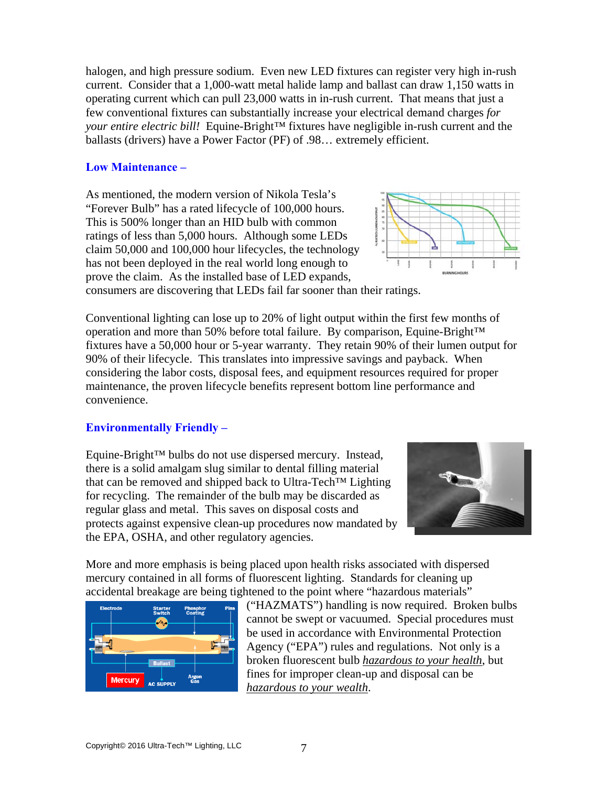halogen, and high pressure sodium. Even new LED fixtures can register very high in-rush current. Consider that a 1,000-watt metal halide lamp and ballast can draw 1,150 watts in operating current which can pull 23,000 watts in in-rush current. That means that just a few conventional fixtures can substantially increase your electrical demand charges *for your entire electric bill!* Equine-Bright™ fixtures have negligible in-rush current and the ballasts (drivers) have a Power Factor (PF) of .98… extremely efficient.

#### **Low Maintenance –**

As mentioned, the modern version of Nikola Tesla's "Forever Bulb" has a rated lifecycle of 100,000 hours. This is 500% longer than an HID bulb with common ratings of less than 5,000 hours. Although some LEDs claim 50,000 and 100,000 hour lifecycles, the technology has not been deployed in the real world long enough to prove the claim. As the installed base of LED expands,



consumers are discovering that LEDs fail far sooner than their ratings.

Conventional lighting can lose up to 20% of light output within the first few months of operation and more than 50% before total failure. By comparison, Equine-Bright™ fixtures have a 50,000 hour or 5-year warranty. They retain 90% of their lumen output for 90% of their lifecycle. This translates into impressive savings and payback. When considering the labor costs, disposal fees, and equipment resources required for proper maintenance, the proven lifecycle benefits represent bottom line performance and convenience.

#### **Environmentally Friendly –**

Equine-Bright™ bulbs do not use dispersed mercury. Instead, there is a solid amalgam slug similar to dental filling material that can be removed and shipped back to Ultra-Tech™ Lighting for recycling. The remainder of the bulb may be discarded as regular glass and metal. This saves on disposal costs and protects against expensive clean-up procedures now mandated by the EPA, OSHA, and other regulatory agencies.



More and more emphasis is being placed upon health risks associated with dispersed mercury contained in all forms of fluorescent lighting. Standards for cleaning up accidental breakage are being tightened to the point where "hazardous materials"



("HAZMATS") handling is now required. Broken bulbs cannot be swept or vacuumed. Special procedures must be used in accordance with Environmental Protection Agency ("EPA") rules and regulations. Not only is a broken fluorescent bulb *hazardous to your health*, but fines for improper clean-up and disposal can be *hazardous to your wealth*.